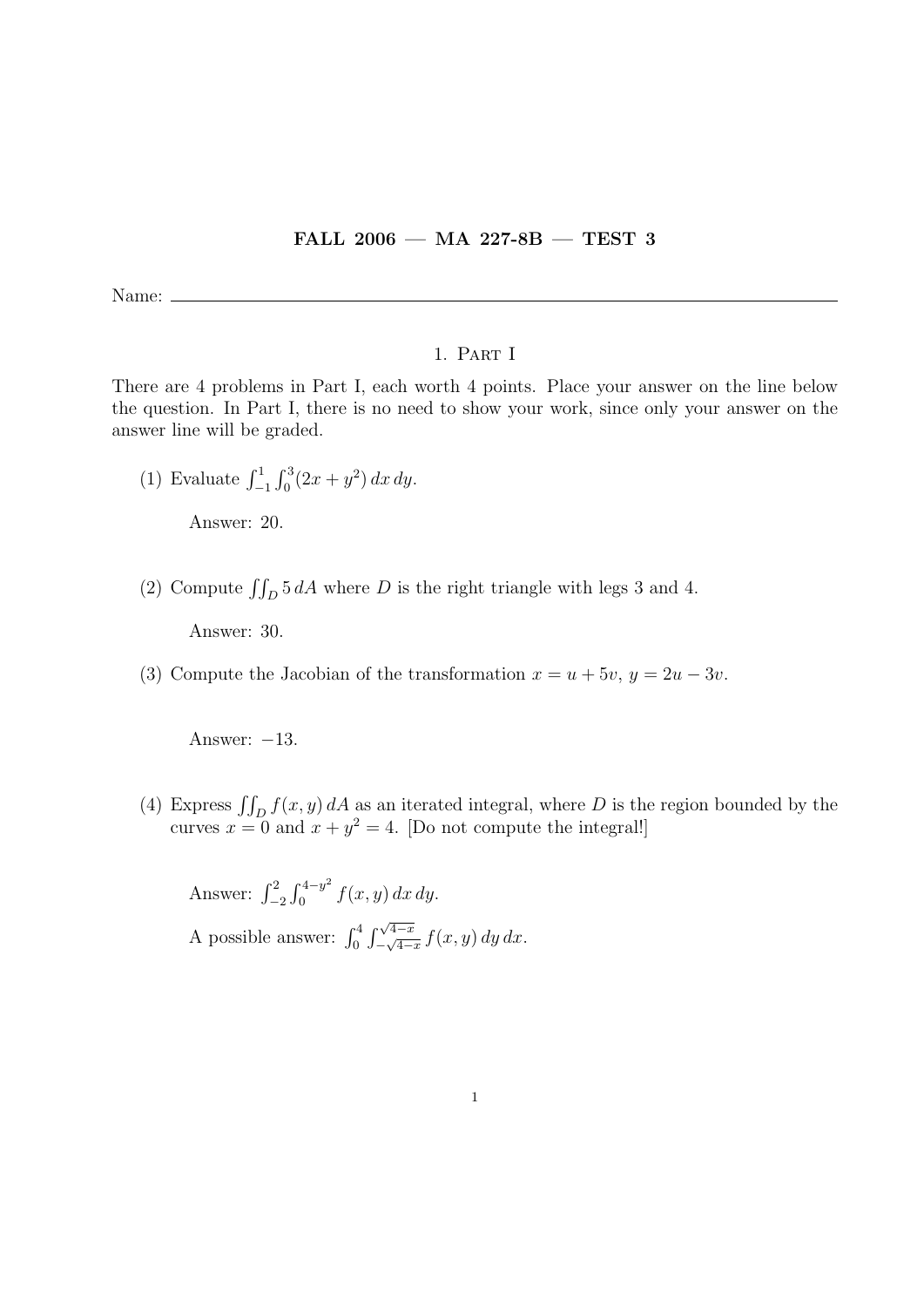## FALL 2006 — MA 227-8B — TEST 3

Name:

## 1. Part I

There are 4 problems in Part I, each worth 4 points. Place your answer on the line below the question. In Part I, there is no need to show your work, since only your answer on the answer line will be graded.

(1) Evaluate  $\int_{-1}^{1} \int_{0}^{3} (2x + y^2) dx dy$ .

Answer: 20.

(2) Compute  $\iint_D 5 dA$  where D is the right triangle with legs 3 and 4.

Answer: 30.

(3) Compute the Jacobian of the transformation  $x = u + 5v$ ,  $y = 2u - 3v$ .

Answer:  $-13$ .

(4) Express  $\iint_D f(x, y) dA$  as an iterated integral, where D is the region bounded by the curves  $x = 0$  and  $x + y^2 = 4$ . [Do not compute the integral!]

Answer:  $\int_{-2}^{2} \int_{0}^{4-y^2}$  $\int_{0}^{4-y} f(x, y) dx dy.$ A possible answer:  $\int_0^4 \int_{-\sqrt{4-x}}^{\sqrt{4-x}}$  $\int_{-\sqrt{4-x}}^{\sqrt{4-x}} f(x, y) dy dx.$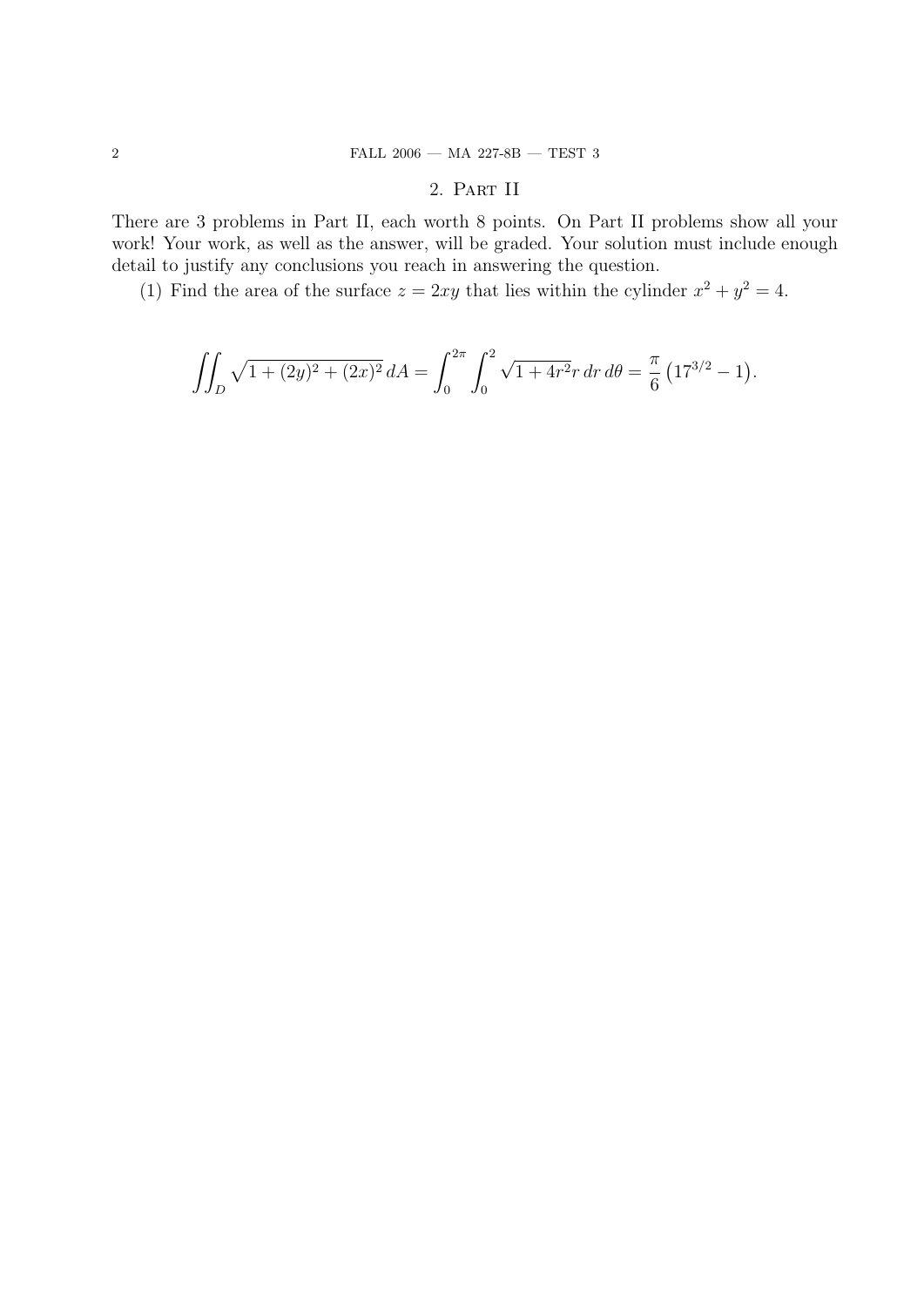## 2. Part II

There are 3 problems in Part II, each worth 8 points. On Part II problems show all your work! Your work, as well as the answer, will be graded. Your solution must include enough detail to justify any conclusions you reach in answering the question.

(1) Find the area of the surface  $z = 2xy$  that lies within the cylinder  $x^2 + y^2 = 4$ .

$$
\iint_D \sqrt{1 + (2y)^2 + (2x)^2} \, dA = \int_0^{2\pi} \int_0^2 \sqrt{1 + 4r^2} r \, dr \, d\theta = \frac{\pi}{6} \left( 17^{3/2} - 1 \right).
$$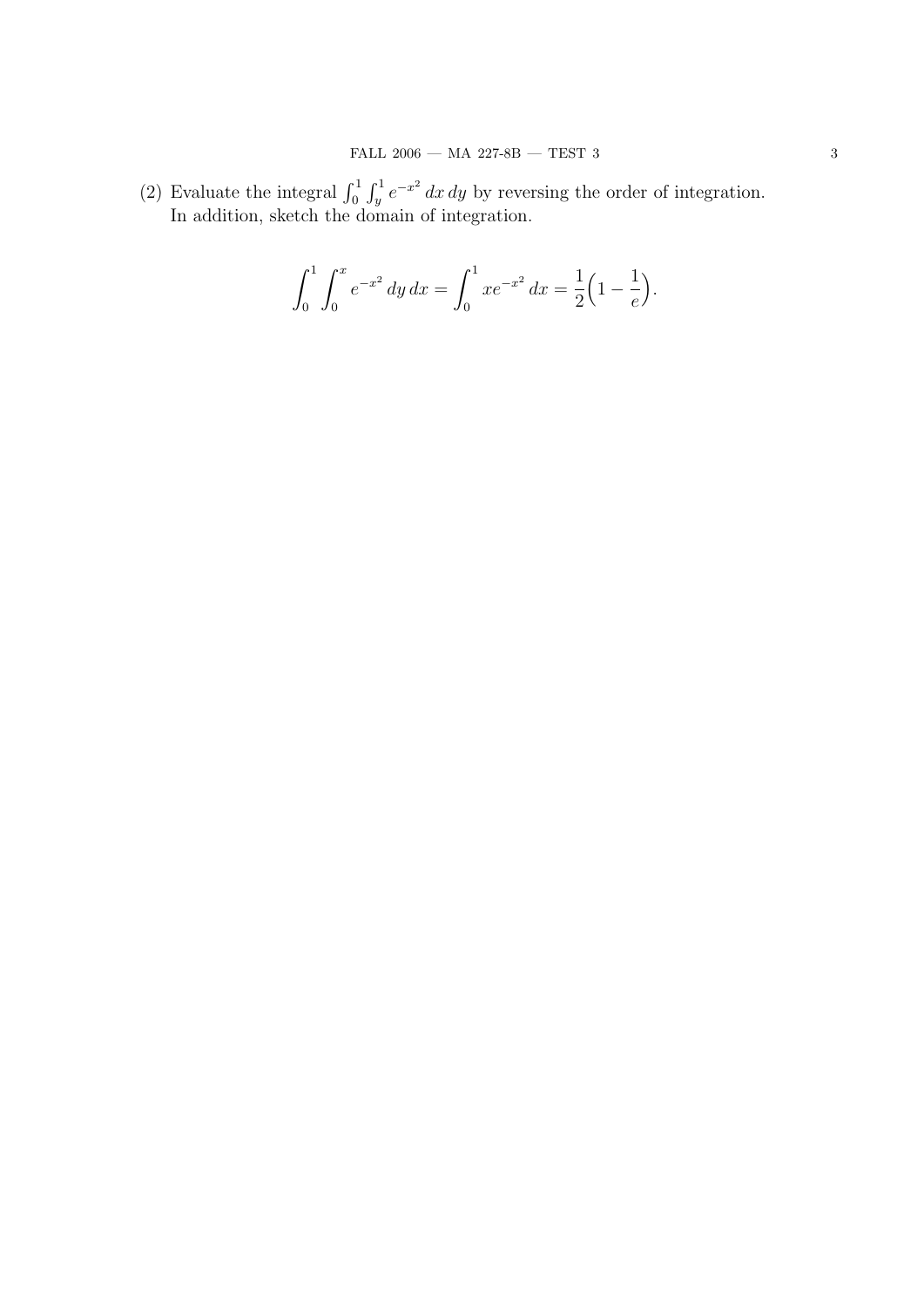(2) Evaluate the integral  $\int_0^1 \int_y^1 e^{-x^2} dx dy$  by reversing the order of integration. In addition, sketch the domain of integration.

$$
\int_0^1 \int_0^x e^{-x^2} \, dy \, dx = \int_0^1 x e^{-x^2} \, dx = \frac{1}{2} \left( 1 - \frac{1}{e} \right).
$$